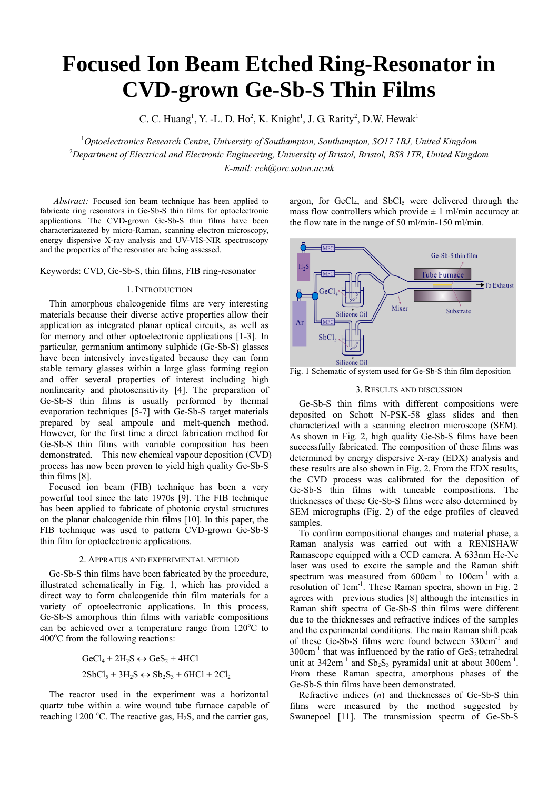# **Focused Ion Beam Etched Ring-Resonator in CVD-grown Ge-Sb-S Thin Films**

C. C. Huang<sup>1</sup>, Y. -L. D. Ho<sup>2</sup>, K. Knight<sup>1</sup>, J. G. Rarity<sup>2</sup>, D.W. Hewak<sup>1</sup>

1 *Optoelectronics Research Centre, University of Southampton, Southampton, SO17 1BJ, United Kingdom* 2 *Department of Electrical and Electronic Engineering, University of Bristol, Bristol, BS8 1TR, United Kingdom E-mail: cch@orc.soton.ac.uk*

*Abstract:* Focused ion beam technique has been applied to fabricate ring resonators in Ge-Sb-S thin films for optoelectronic applications. The CVD-grown Ge-Sb-S thin films have been characterizatezed by micro-Raman, scanning electron microscopy, energy dispersive X-ray analysis and UV-VIS-NIR spectroscopy and the properties of the resonator are being assessed.

Keywords: CVD, Ge-Sb-S, thin films, FIB ring-resonator

# 1. INTRODUCTION

Thin amorphous chalcogenide films are very interesting materials because their diverse active properties allow their application as integrated planar optical circuits, as well as for memory and other optoelectronic applications [1-3]. In particular, germanium antimony sulphide (Ge-Sb-S) glasses have been intensively investigated because they can form stable ternary glasses within a large glass forming region and offer several properties of interest including high nonlinearity and photosensitivity [4]. The preparation of Ge-Sb-S thin films is usually performed by thermal evaporation techniques [5-7] with Ge-Sb-S target materials prepared by seal ampoule and melt-quench method. However, for the first time a direct fabrication method for Ge-Sb-S thin films with variable composition has been demonstrated. This new chemical vapour deposition (CVD) process has now been proven to yield high quality Ge-Sb-S thin films [8].

Focused ion beam (FIB) technique has been a very powerful tool since the late 1970s [9]. The FIB technique has been applied to fabricate of photonic crystal structures on the planar chalcogenide thin films [10]. In this paper, the FIB technique was used to pattern CVD-grown Ge-Sb-S thin film for optoelectronic applications.

#### 2. APPRATUS AND EXPERIMENTAL METHOD

Ge-Sb-S thin films have been fabricated by the procedure, illustrated schematically in Fig. 1, which has provided a direct way to form chalcogenide thin film materials for a variety of optoelectronic applications. In this process, Ge-Sb-S amorphous thin films with variable compositions can be achieved over a temperature range from  $120^{\circ}$ C to 400°C from the following reactions:

> $GeCl_4 + 2H_2S \leftrightarrow GeS_2 + 4HCl$  $2SbCl<sub>5</sub> + 3H<sub>2</sub>S \leftrightarrow Sb<sub>2</sub>S<sub>2</sub> + 6HCl + 2Cl<sub>2</sub>$

The reactor used in the experiment was a horizontal quartz tube within a wire wound tube furnace capable of reaching 1200 °C. The reactive gas,  $H_2S$ , and the carrier gas, argon, for  $GeCl<sub>4</sub>$ , and  $SbCl<sub>5</sub>$  were delivered through the mass flow controllers which provide  $\pm$  1 ml/min accuracy at the flow rate in the range of 50 ml/min-150 ml/min.



Fig. 1 Schematic of system used for Ge-Sb-S thin film deposition

# 3. RESULTS AND DISCUSSION

Ge-Sb-S thin films with different compositions were deposited on Schott N-PSK-58 glass slides and then characterized with a scanning electron microscope (SEM). As shown in Fig. 2, high quality Ge-Sb-S films have been successfully fabricated. The composition of these films was determined by energy dispersive X-ray (EDX) analysis and these results are also shown in Fig. 2. From the EDX results, the CVD process was calibrated for the deposition of Ge-Sb-S thin films with tuneable compositions. The thicknesses of these Ge-Sb-S films were also determined by SEM micrographs (Fig. 2) of the edge profiles of cleaved samples.

To confirm compositional changes and material phase, a Raman analysis was carried out with a RENISHAW Ramascope equipped with a CCD camera. A 633nm He-Ne laser was used to excite the sample and the Raman shift spectrum was measured from  $600 \text{cm}^{-1}$  to  $100 \text{cm}^{-1}$  with a resolution of 1cm-1. These Raman spectra, shown in Fig. 2 agrees with previous studies [8] although the intensities in Raman shift spectra of Ge-Sb-S thin films were different due to the thicknesses and refractive indices of the samples and the experimental conditions. The main Raman shift peak of these Ge-Sb-S films were found between 330cm<sup>-1</sup> and  $300 \text{cm}^{-1}$  that was influenced by the ratio of  $\text{GeS}_2$  tetrahedral unit at  $342 \text{cm}^{-1}$  and  $\text{Sb}_2\text{S}_3$  pyramidal unit at about  $300 \text{cm}^{-1}$ . From these Raman spectra, amorphous phases of the Ge-Sb-S thin films have been demonstrated.

Refractive indices (*n*) and thicknesses of Ge-Sb-S thin films were measured by the method suggested by Swanepoel [11]. The transmission spectra of Ge-Sb-S